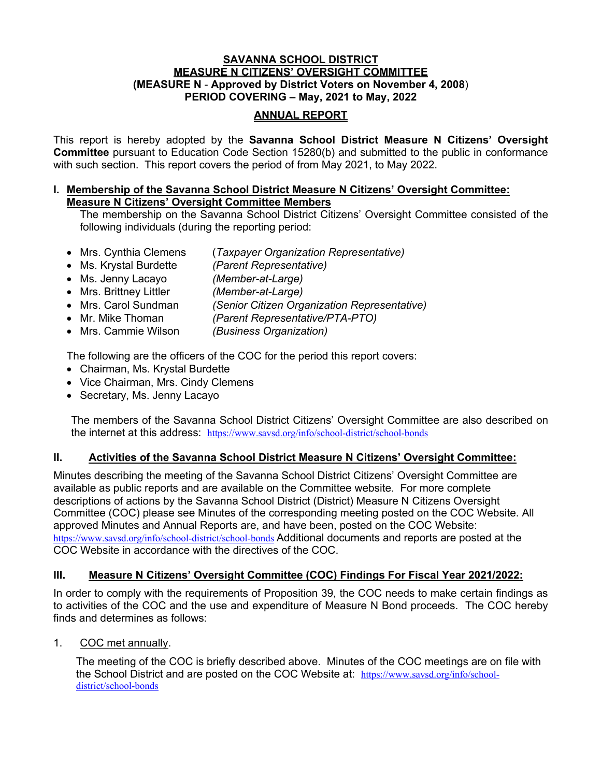#### **SAVANNA SCHOOL DISTRICT MEASURE N CITIZENS' OVERSIGHT COMMITTEE (MEASURE N** - **Approved by District Voters on November 4, 2008**) **PERIOD COVERING – May, 2021 to May, 2022**

## **ANNUAL REPORT**

This report is hereby adopted by the **Savanna School District Measure N Citizens' Oversight Committee** pursuant to Education Code Section 15280(b) and submitted to the public in conformance with such section. This report covers the period of from May 2021, to May 2022.

#### **I. Membership of the Savanna School District Measure N Citizens' Oversight Committee: Measure N Citizens' Oversight Committee Members**

The membership on the Savanna School District Citizens' Oversight Committee consisted of the following individuals (during the reporting period:

- Mrs. Cynthia Clemens (*Taxpayer Organization Representative)*
- Ms. Krystal Burdette *(Parent Representative)*
- Ms. Jenny Lacayo *(Member-at-Large)*
- Mrs. Brittney Littler *(Member-at-Large)*
- Mrs. Carol Sundman *(Senior Citizen Organization Representative)*
- Mr. Mike Thoman *(Parent Representative/PTA-PTO)*
- Mrs. Cammie Wilson *(Business Organization)*

The following are the officers of the COC for the period this report covers:

- Chairman, Ms. Krystal Burdette
- Vice Chairman, Mrs. Cindy Clemens
- Secretary, Ms. Jenny Lacayo

The members of the Savanna School District Citizens' Oversight Committee are also described on the internet at this address: https://www.savsd.org/info/school-district/school-bonds

# **II. Activities of the Savanna School District Measure N Citizens' Oversight Committee:**

Minutes describing the meeting of the Savanna School District Citizens' Oversight Committee are available as public reports and are available on the Committee website. For more complete descriptions of actions by the Savanna School District (District) Measure N Citizens Oversight Committee (COC) please see Minutes of the corresponding meeting posted on the COC Website. All approved Minutes and Annual Reports are, and have been, posted on the COC Website: https://www.savsd.org/info/school-district/school-bonds Additional documents and reports are posted at the COC Website in accordance with the directives of the COC.

### **III. Measure N Citizens' Oversight Committee (COC) Findings For Fiscal Year 2021/2022:**

In order to comply with the requirements of Proposition 39, the COC needs to make certain findings as to activities of the COC and the use and expenditure of Measure N Bond proceeds. The COC hereby finds and determines as follows:

1. COC met annually.

The meeting of the COC is briefly described above. Minutes of the COC meetings are on file with the School District and are posted on the COC Website at: https://www.savsd.org/info/schooldistrict/school-bonds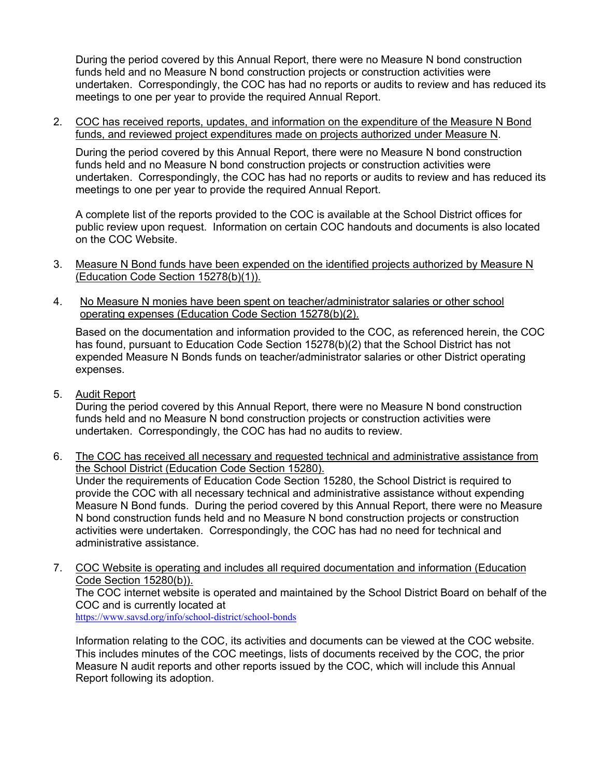During the period covered by this Annual Report, there were no Measure N bond construction funds held and no Measure N bond construction projects or construction activities were undertaken. Correspondingly, the COC has had no reports or audits to review and has reduced its meetings to one per year to provide the required Annual Report.

2. COC has received reports, updates, and information on the expenditure of the Measure N Bond funds, and reviewed project expenditures made on projects authorized under Measure N.

During the period covered by this Annual Report, there were no Measure N bond construction funds held and no Measure N bond construction projects or construction activities were undertaken. Correspondingly, the COC has had no reports or audits to review and has reduced its meetings to one per year to provide the required Annual Report.

A complete list of the reports provided to the COC is available at the School District offices for public review upon request. Information on certain COC handouts and documents is also located on the COC Website.

- 3. Measure N Bond funds have been expended on the identified projects authorized by Measure N (Education Code Section 15278(b)(1)).
- 4. No Measure N monies have been spent on teacher/administrator salaries or other school operating expenses (Education Code Section 15278(b)(2).

Based on the documentation and information provided to the COC, as referenced herein, the COC has found, pursuant to Education Code Section 15278(b)(2) that the School District has not expended Measure N Bonds funds on teacher/administrator salaries or other District operating expenses.

5. Audit Report

During the period covered by this Annual Report, there were no Measure N bond construction funds held and no Measure N bond construction projects or construction activities were undertaken. Correspondingly, the COC has had no audits to review.

- 6. The COC has received all necessary and requested technical and administrative assistance from the School District (Education Code Section 15280). Under the requirements of Education Code Section 15280, the School District is required to provide the COC with all necessary technical and administrative assistance without expending Measure N Bond funds. During the period covered by this Annual Report, there were no Measure N bond construction funds held and no Measure N bond construction projects or construction activities were undertaken. Correspondingly, the COC has had no need for technical and administrative assistance.
- 7. COC Website is operating and includes all required documentation and information (Education Code Section 15280(b)). The COC internet website is operated and maintained by the School District Board on behalf of the COC and is currently located at https://www.savsd.org/info/school-district/school-bonds

Information relating to the COC, its activities and documents can be viewed at the COC website. This includes minutes of the COC meetings, lists of documents received by the COC, the prior Measure N audit reports and other reports issued by the COC, which will include this Annual Report following its adoption.